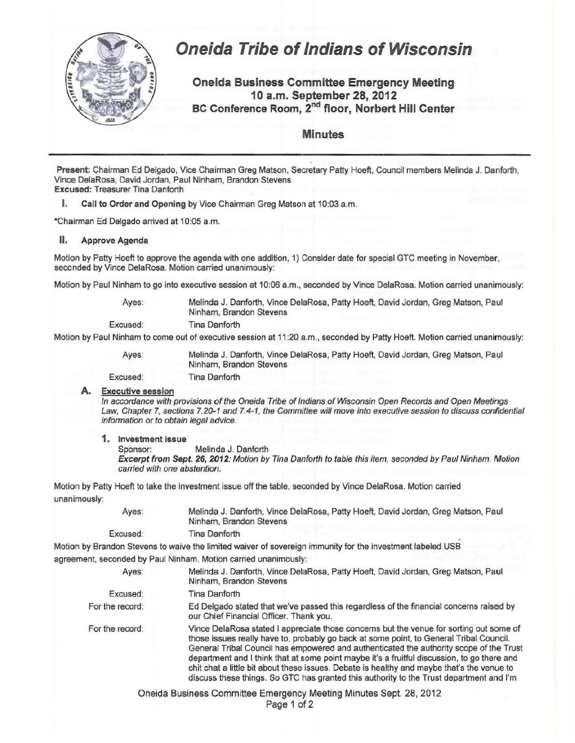

## **Oneida Tribe of Indians of Wisconsin**

**Oneida Business Committee Emergency Meeting 10 a.m. September 28, 2012 BC Conference Room,** 2nd **floor, Norbert Hill Center** 

**Minutes** 

Present: Chairman Ed Delgado, Vice Chairman Greg Matson, Secretary Patty Hoeft, Council members Melinda J. Danforth, Vince DelaRosa, David Jordan, Paul Ninham, Brandon Stevens Excused: Treasurer Tina Danforth

I. Call to Order and Opening by Vice Chairman Greg Matson at 10:03 a.m.

\*Chairman Ed Delgado arrived at 10:05 a.m.

II. Approve Agenda

Motion by Patty Hoeft to approve the agenda with one addition, 1) Consider date for special GTC meeting in November, seconded by Vince DelaRosa. Motion carried unanimously:

Motion by Paul Ninham to go into executive session at 10:06 a.m., seconded by Vince DelaRosa. Motion carried unanimously:

Ayes: Melinda J. Danforth, Vince DelaRosa, Patty Hoeft, David Jordan, Greg Matson, Paul Ninham, Brandon Stevens

Excused: Tina Danforth

Motion by Paul Ninham to come out of executive session at 11 :20 a.m., seconded by Patty Hoeft. Motion carried unanimously:

Ayes: Excused: Melinda J. Danforth, Vince DelaRosa, Patty Hoeft, David Jordan, Greg Matson, Paul Ninham, Brandon Stevens Tina Danforth

## **A.** Executive session

In accordance with provisions of the Oneida Tribe of Indians of Wisconsin Open Records and Open Meetings Law, Chapter 7, sections 7.20-1 and 7.4-1, the Committee will move into executive session to discuss confidential information or to obtain legal advice.

**1.** Investment issue

Sponsor: Melinda J. Danforth

Excerpt from Sept. 26, 2012: Motion by Tina Danforth to table this item, seconded by Paul Ninham. Motion carried with one abstention.

Motion by Patty Hoeft to take the investment issue off the table, seconded by Vince DelaRosa. Motion carried unanimously:

| Ayes:    | Melinda J. Danforth, Vince DelaRosa, Patty Hoeft, David Jordan, Greg Matson, Paul |
|----------|-----------------------------------------------------------------------------------|
|          | Ninham, Brandon Stevens                                                           |
| Excused: | Tina Danforth                                                                     |

Motion by Brandon Stevens to waive the limited waiver of sovereign immunity for the investment labeled USB

agreement, seconded by Paul Ninham. Motion carried unanimously:

| Ayes:           | Melinda J. Danforth, Vince DelaRosa, Patty Hoeft, David Jordan, Greg Matson, Paul<br>Ninham, Brandon Stevens                                                                                                                                                                                                                                                                                                                                                                                                                                                          |
|-----------------|-----------------------------------------------------------------------------------------------------------------------------------------------------------------------------------------------------------------------------------------------------------------------------------------------------------------------------------------------------------------------------------------------------------------------------------------------------------------------------------------------------------------------------------------------------------------------|
| Excused:        | Tina Danforth                                                                                                                                                                                                                                                                                                                                                                                                                                                                                                                                                         |
| For the record: | Ed Delgado stated that we've passed this regardless of the financial concerns raised by<br>our Chief Financial Officer. Thank you.                                                                                                                                                                                                                                                                                                                                                                                                                                    |
| For the record: | Vince DelaRosa stated I appreciate those concerns but the venue for sorting out some of<br>those issues really have to, probably go back at some point, to General Tribal Council.<br>General Tribal Council has empowered and authenticated the authority scope of the Trust<br>department and I think that at some point maybe it's a fruitful discussion, to go there and<br>chit chat a little bit about these issues. Debate is healthy and maybe that's the venue to<br>discuss these things. So GTC has granted this authority to the Trust department and I'm |

Oneida Business Committee Emergency Meeting Minutes Sept. 28, 2012